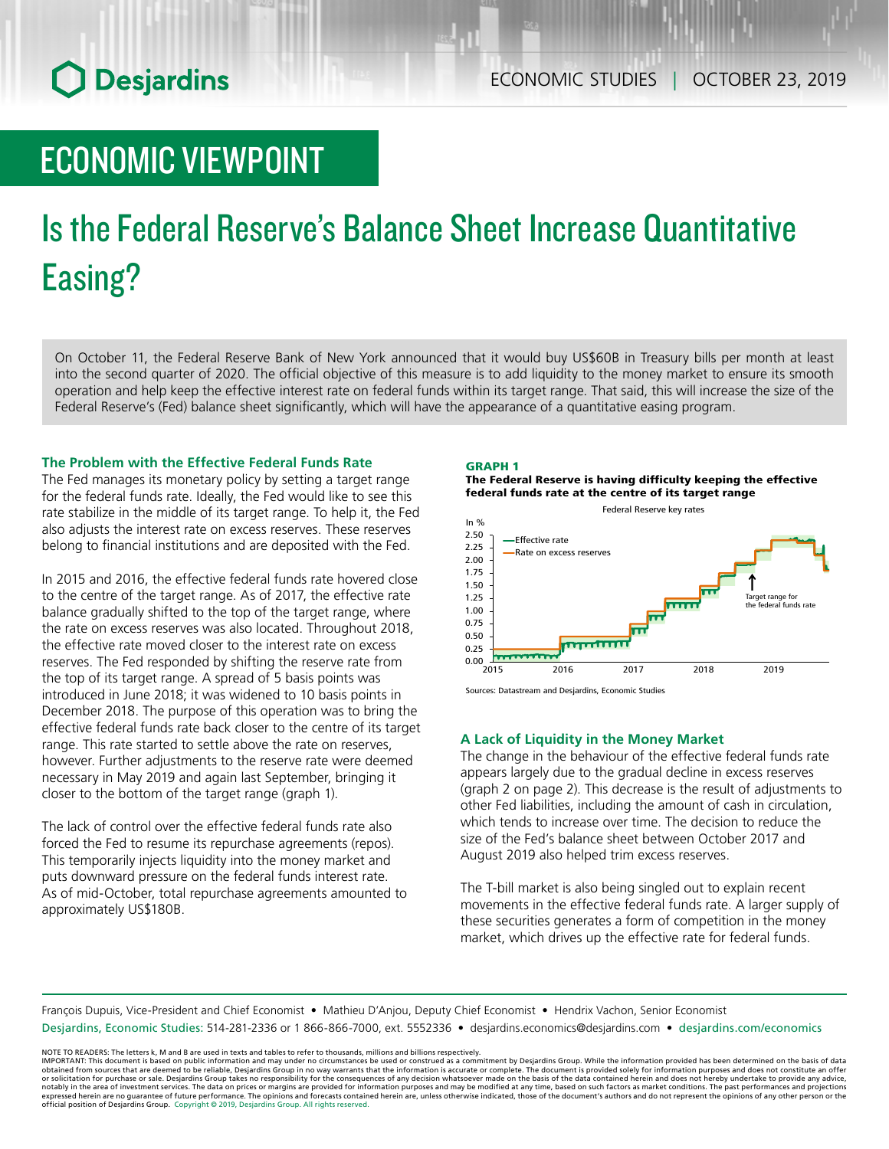## **O** Desjardins

### ECONOMIC VIEWPOINT

# Is the Federal Reserve's Balance Sheet Increase Quantitative Easing?

On October 11, the Federal Reserve Bank of New York announced that it would buy US\$60B in Treasury bills per month at least into the second quarter of 2020. The official objective of this measure is to add liquidity to the money market to ensure its smooth operation and help keep the effective interest rate on federal funds within its target range. That said, this will increase the size of the Federal Reserve's (Fed) balance sheet significantly, which will have the appearance of a quantitative easing program.

#### **The Problem with the Effective Federal Funds Rate**

The Fed manages its monetary policy by setting a target range for the federal funds rate. Ideally, the Fed would like to see this rate stabilize in the middle of its target range. To help it, the Fed also adjusts the interest rate on excess reserves. These reserves belong to financial institutions and are deposited with the Fed.

In 2015 and 2016, the effective federal funds rate hovered close to the centre of the target range. As of 2017, the effective rate balance gradually shifted to the top of the target range, where the rate on excess reserves was also located. Throughout 2018, the effective rate moved closer to the interest rate on excess reserves. The Fed responded by shifting the reserve rate from the top of its target range. A spread of 5 basis points was introduced in June 2018; it was widened to 10 basis points in December 2018. The purpose of this operation was to bring the effective federal funds rate back closer to the centre of its target range. This rate started to settle above the rate on reserves, however. Further adjustments to the reserve rate were deemed necessary in May 2019 and again last September, bringing it closer to the bottom of the target range (graph 1).

The lack of control over the effective federal funds rate also forced the Fed to resume its repurchase agreements (repos). This temporarily injects liquidity into the money market and puts downward pressure on the federal funds interest rate. As of mid-October, total repurchase agreements amounted to approximately US\$180B.



The Federal Reserve is having difficulty keeping the effective federal funds rate at the centre of its target range



Sources: Datastream and Desjardins, Economic Studies

#### **A Lack of Liquidity in the Money Market**

The change in the behaviour of the effective federal funds rate appears largely due to the gradual decline in excess reserves (graph 2 on page 2). This decrease is the result of adjustments to other Fed liabilities, including the amount of cash in circulation, which tends to increase over time. The decision to reduce the size of the Fed's balance sheet between October 2017 and August 2019 also helped trim excess reserves.

The T-bill market is also being singled out to explain recent movements in the effective federal funds rate. A larger supply of these securities generates a form of competition in the money market, which drives up the effective rate for federal funds.

François Dupuis, Vice-President and Chief Economist • Mathieu D'Anjou, Deputy Chief Economist • Hendrix Vachon, Senior Economist Desjardins, Economic Studies: 514-281-2336 or 1 866-866-7000, ext. 5552336 • desjardins.economics@desjardins.com • [desjardins.com/economics](http://desjardins.com/economics)

NOTE TO READERS: The letters k, M and B are used in texts and tables to refer to thousands, millions and billions respectively.<br>IMPORTANT: This document is based on public information and may under no circumstances be used obtained from sources that are deemed to be reliable, Desjardins Group in no way warrants that the information is accurate or complete. The document is provided solely for information purposes and does not constitute an of expressed herein are no guarantee of future performance. The opinions and forecasts contained herein are, unless otherwise indicated, those of the document's authors and do not represent the opinions of any other person or official position of Desjardins Group. Copyright © 2019, Desjardins Group. All rights reserved.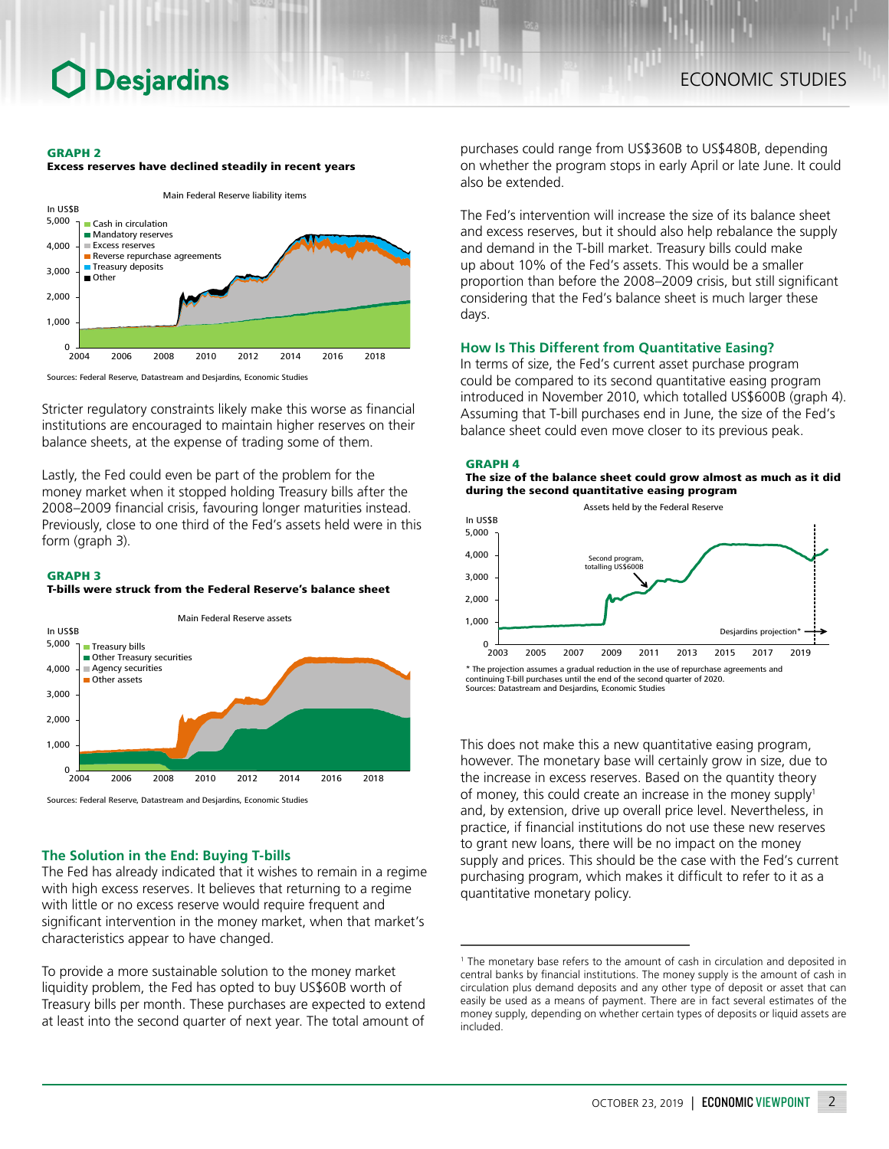### **Desjardins**

#### GRAPH 2





Sources: Federal Reserve, Datastream and Desjardins, Economic Studies

Stricter regulatory constraints likely make this worse as financial institutions are encouraged to maintain higher reserves on their balance sheets, at the expense of trading some of them.

Lastly, the Fed could even be part of the problem for the money market when it stopped holding Treasury bills after the 2008–2009 financial crisis, favouring longer maturities instead. Previously, close to one third of the Fed's assets held were in this form (graph 3).

#### GRAPH 3

T-bills were struck from the Federal Reserve's balance sheet



#### **The Solution in the End: Buying T-bills**

The Fed has already indicated that it wishes to remain in a regime with high excess reserves. It believes that returning to a regime with little or no excess reserve would require frequent and significant intervention in the money market, when that market's characteristics appear to have changed.

To provide a more sustainable solution to the money market liquidity problem, the Fed has opted to buy US\$60B worth of Treasury bills per month. These purchases are expected to extend at least into the second quarter of next year. The total amount of

purchases could range from US\$360B to US\$480B, depending on whether the program stops in early April or late June. It could also be extended.

The Fed's intervention will increase the size of its balance sheet and excess reserves, but it should also help rebalance the supply and demand in the T-bill market. Treasury bills could make up about 10% of the Fed's assets. This would be a smaller proportion than before the 2008–2009 crisis, but still significant considering that the Fed's balance sheet is much larger these days.

#### **How Is This Different from Quantitative Easing?**

In terms of size, the Fed's current asset purchase program could be compared to its second quantitative easing program introduced in November 2010, which totalled US\$600B (graph 4). Assuming that T-bill purchases end in June, the size of the Fed's balance sheet could even move closer to its previous peak.

#### GRAPH 4

The size of the balance sheet could grow almost as much as it did during the second quantitative easing program



continuing T-bill purchases until the end of the second quarter of 2020. Sources: Datastream and Desjardins, Economic Studies

This does not make this a new quantitative easing program, however. The monetary base will certainly grow in size, due to the increase in excess reserves. Based on the quantity theory of money, this could create an increase in the money supply<sup>1</sup> and, by extension, drive up overall price level. Nevertheless, in practice, if financial institutions do not use these new reserves to grant new loans, there will be no impact on the money supply and prices. This should be the case with the Fed's current purchasing program, which makes it difficult to refer to it as a quantitative monetary policy.

<sup>&</sup>lt;sup>1</sup> The monetary base refers to the amount of cash in circulation and deposited in central banks by financial institutions. The money supply is the amount of cash in circulation plus demand deposits and any other type of deposit or asset that can easily be used as a means of payment. There are in fact several estimates of the money supply, depending on whether certain types of deposits or liquid assets are included.